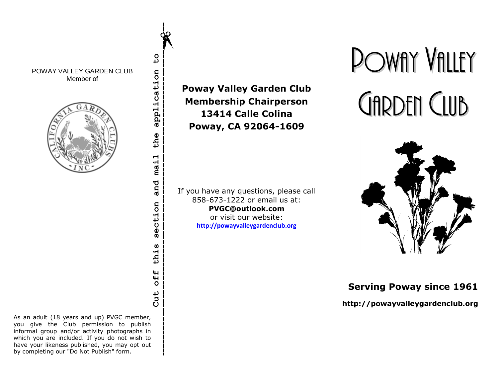POWAY VALLEY GARDEN CLUB Member of



**Cut off this section and mail the application to** application the mail and section **S** thi. off Cut

 $\overline{c}$ 

As an adult (18 years and up) PVGC member, you give the Club permission to publish informal group and/or activity photographs in which you are included. If you do not wish to have your likeness published, you may opt out by completing our "Do Not Publish" form.

**Poway Valley Garden Club Membership Chairperson 13414 Calle Colina Poway, CA 92064-1609**

If you have any questions, please call 858-673-1222 or email us at: **PVGC@outlook.com** or visit our website: **[http://powayvalleygardenclub.org](http://powayvalleygardenclub.org/)**

# POWAY VALLEY GARDEN CLUB



**Serving Poway since 1961**

**http://powayvalleygardenclub.org**